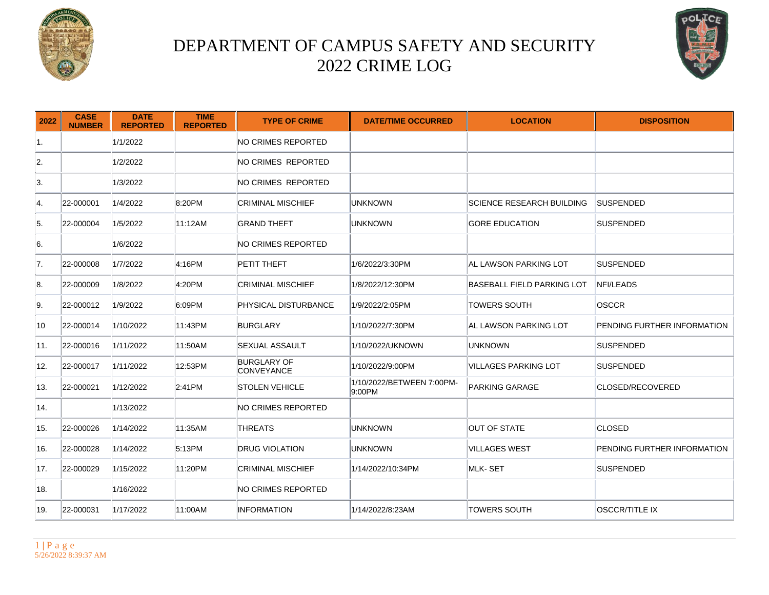



| 2022 | <b>CASE</b><br><b>NUMBER</b> | <b>DATE</b><br><b>REPORTED</b> | <b>TIME</b><br><b>REPORTED</b> | <b>TYPE OF CRIME</b>             | <b>DATE/TIME OCCURRED</b>           | <b>LOCATION</b>                  | <b>DISPOSITION</b>                 |
|------|------------------------------|--------------------------------|--------------------------------|----------------------------------|-------------------------------------|----------------------------------|------------------------------------|
| 1.   |                              | 1/1/2022                       |                                | NO CRIMES REPORTED               |                                     |                                  |                                    |
| 2.   |                              | 1/2/2022                       |                                | NO CRIMES REPORTED               |                                     |                                  |                                    |
| 3.   |                              | 1/3/2022                       |                                | NO CRIMES REPORTED               |                                     |                                  |                                    |
| 4.   | 22-000001                    | 1/4/2022                       | 8:20PM                         | <b>CRIMINAL MISCHIEF</b>         | <b>UNKNOWN</b>                      | <b>SCIENCE RESEARCH BUILDING</b> | <b>SUSPENDED</b>                   |
| 5.   | 22-000004                    | 1/5/2022                       | 11:12AM                        | <b>GRAND THEFT</b>               | <b>UNKNOWN</b>                      | <b>GORE EDUCATION</b>            | SUSPENDED                          |
| 6.   |                              | 1/6/2022                       |                                | NO CRIMES REPORTED               |                                     |                                  |                                    |
| 17.  | 22-000008                    | 1/7/2022                       | 4:16PM                         | PETIT THEFT                      | 1/6/2022/3:30PM                     | AL LAWSON PARKING LOT            | <b>SUSPENDED</b>                   |
| 8.   | 22-000009                    | 1/8/2022                       | 4:20PM                         | <b>CRIMINAL MISCHIEF</b>         | 1/8/2022/12:30PM                    | BASEBALL FIELD PARKING LOT       | <b>NFI/LEADS</b>                   |
| 9.   | 22-000012                    | 1/9/2022                       | 6:09PM                         | PHYSICAL DISTURBANCE             | 1/9/2022/2:05PM                     | <b>TOWERS SOUTH</b>              | <b>OSCCR</b>                       |
| 10   | 22-000014                    | 1/10/2022                      | 11:43PM                        | <b>BURGLARY</b>                  | 1/10/2022/7:30PM                    | IAL LAWSON PARKING LOT           | PENDING FURTHER INFORMATION        |
| 11.  | 22-000016                    | 1/11/2022                      | 11:50AM                        | <b>SEXUAL ASSAULT</b>            | 1/10/2022/UKNOWN                    | <b>UNKNOWN</b>                   | <b>SUSPENDED</b>                   |
| 12.  | 22-000017                    | 1/11/2022                      | 12:53PM                        | <b>BURGLARY OF</b><br>CONVEYANCE | 1/10/2022/9:00PM                    | VILLAGES PARKING LOT             | SUSPENDED                          |
| 13.  | 22-000021                    | 1/12/2022                      | 2:41PM                         | <b>STOLEN VEHICLE</b>            | 1/10/2022/BETWEEN 7:00PM-<br>9:00PM | PARKING GARAGE                   | CLOSED/RECOVERED                   |
| 14.  |                              | 1/13/2022                      |                                | NO CRIMES REPORTED               |                                     |                                  |                                    |
| 15.  | 22-000026                    | 1/14/2022                      | 11:35AM                        | <b>THREATS</b>                   | <b>UNKNOWN</b>                      | <b>OUT OF STATE</b>              | <b>CLOSED</b>                      |
| 16.  | 22-000028                    | 1/14/2022                      | 5:13PM                         | <b>DRUG VIOLATION</b>            | <b>UNKNOWN</b>                      | <b>VILLAGES WEST</b>             | <b>PENDING FURTHER INFORMATION</b> |
| 17.  | 22-000029                    | 1/15/2022                      | 11:20PM                        | <b>CRIMINAL MISCHIEF</b>         | 1/14/2022/10:34PM                   | MLK-SET                          | <b>SUSPENDED</b>                   |
| 18.  |                              | 1/16/2022                      |                                | NO CRIMES REPORTED               |                                     |                                  |                                    |
| 19.  | 22-000031                    | 1/17/2022                      | 11:00AM                        | <b>INFORMATION</b>               | 1/14/2022/8:23AM                    | <b>TOWERS SOUTH</b>              | <b>OSCCR/TITLE IX</b>              |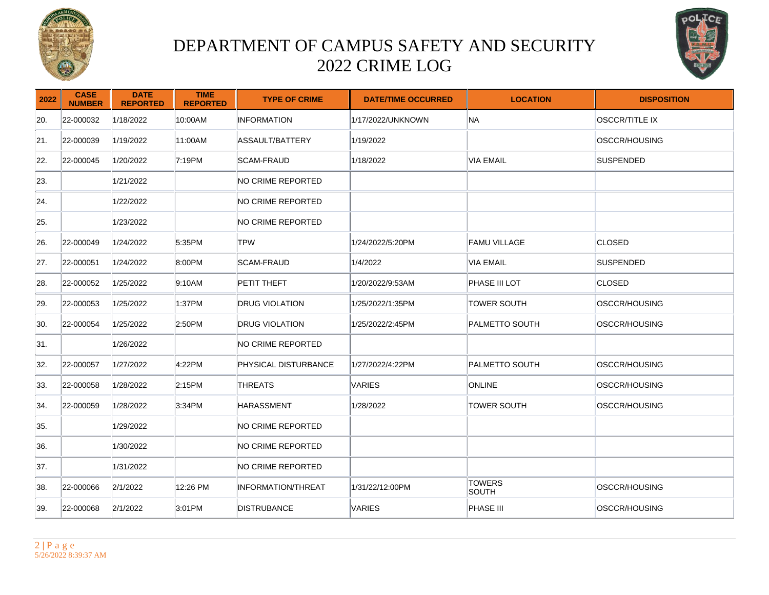



| 2022 | <b>CASE</b><br><b>NUMBER</b> | <b>DATE</b><br><b>REPORTED</b> | <b>TIME</b><br><b>REPORTED</b> | <b>TYPE OF CRIME</b>      | <b>DATE/TIME OCCURRED</b> | <b>LOCATION</b>        | <b>DISPOSITION</b>    |
|------|------------------------------|--------------------------------|--------------------------------|---------------------------|---------------------------|------------------------|-----------------------|
| 20.  | 22-000032                    | 1/18/2022                      | 10:00AM                        | <b>INFORMATION</b>        | 1/17/2022/UNKNOWN         | <b>NA</b>              | <b>OSCCR/TITLE IX</b> |
| 21.  | 22-000039                    | 1/19/2022                      | 11:00AM                        | ASSAULT/BATTERY           | 1/19/2022                 |                        | OSCCR/HOUSING         |
| 22.  | 22-000045                    | 1/20/2022                      | 7:19PM                         | SCAM-FRAUD                | 1/18/2022                 | <b>VIA EMAIL</b>       | <b>ISUSPENDED</b>     |
| 23.  |                              | 1/21/2022                      |                                | NO CRIME REPORTED         |                           |                        |                       |
| 24.  |                              | 1/22/2022                      |                                | NO CRIME REPORTED         |                           |                        |                       |
| 25.  |                              | 1/23/2022                      |                                | NO CRIME REPORTED         |                           |                        |                       |
| 26.  | 22-000049                    | 1/24/2022                      | 5:35PM                         | <b>TPW</b>                | 1/24/2022/5:20PM          | <b>FAMU VILLAGE</b>    | <b>CLOSED</b>         |
| 27.  | 22-000051                    | 1/24/2022                      | 8:00PM                         | SCAM-FRAUD                | 1/4/2022                  | VIA EMAIL              | <b>SUSPENDED</b>      |
| 28.  | 22-000052                    | 1/25/2022                      | 9:10AM                         | PETIT THEFT               | 1/20/2022/9:53AM          | <b>PHASE III LOT</b>   | <b>CLOSED</b>         |
| 29.  | 22-000053                    | 1/25/2022                      | 1:37PM                         | <b>DRUG VIOLATION</b>     | 1/25/2022/1:35PM          | TOWER SOUTH            | OSCCR/HOUSING         |
| 30.  | 22-000054                    | 1/25/2022                      | 2:50PM                         | DRUG VIOLATION            | 1/25/2022/2:45PM          | PALMETTO SOUTH         | OSCCR/HOUSING         |
| 31.  |                              | 1/26/2022                      |                                | NO CRIME REPORTED         |                           |                        |                       |
| 32.  | 22-000057                    | 1/27/2022                      | 4:22PM                         | PHYSICAL DISTURBANCE      | 1/27/2022/4:22PM          | <b>PALMETTO SOUTH</b>  | OSCCR/HOUSING         |
| 33.  | 22-000058                    | 1/28/2022                      | 2:15PM                         | <b>THREATS</b>            | VARIES                    | ONLINE                 | OSCCR/HOUSING         |
| 34.  | 22-000059                    | 1/28/2022                      | 3:34PM                         | <b>HARASSMENT</b>         | 1/28/2022                 | TOWER SOUTH            | OSCCR/HOUSING         |
| 35.  |                              | 1/29/2022                      |                                | NO CRIME REPORTED         |                           |                        |                       |
| 36.  |                              | 1/30/2022                      |                                | NO CRIME REPORTED         |                           |                        |                       |
| 37.  |                              | 1/31/2022                      |                                | NO CRIME REPORTED         |                           |                        |                       |
| 38.  | 22-000066                    | 2/1/2022                       | 12:26 PM                       | <b>INFORMATION/THREAT</b> | 1/31/22/12:00PM           | <b>TOWERS</b><br>SOUTH | OSCCR/HOUSING         |
| 39.  | 22-000068                    | 2/1/2022                       | 3:01PM                         | <b>DISTRUBANCE</b>        | VARIES                    | PHASE III              | OSCCR/HOUSING         |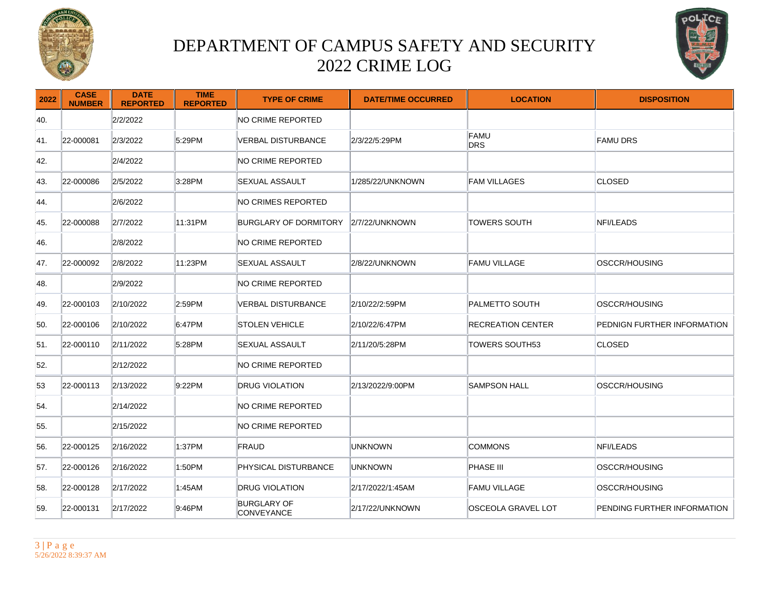



| 2022 | <b>CASE</b><br><b>NUMBER</b> | <b>DATE</b><br><b>REPORTED</b> | <b>TIME</b><br><b>REPORTED</b> | <b>TYPE OF CRIME</b>                    | <b>DATE/TIME OCCURRED</b> | <b>LOCATION</b>           | <b>DISPOSITION</b>          |
|------|------------------------------|--------------------------------|--------------------------------|-----------------------------------------|---------------------------|---------------------------|-----------------------------|
| 40.  |                              | 2/2/2022                       |                                | NO CRIME REPORTED                       |                           |                           |                             |
| 41.  | 22-000081                    | 2/3/2022                       | 5:29PM                         | <b>VERBAL DISTURBANCE</b>               | 2/3/22/5:29PM             | FAMU<br><b>DRS</b>        | <b>FAMU DRS</b>             |
| 42.  |                              | 2/4/2022                       |                                | NO CRIME REPORTED                       |                           |                           |                             |
| 43.  | 22-000086                    | 2/5/2022                       | 3:28PM                         | <b>SEXUAL ASSAULT</b>                   | 1/285/22/UNKNOWN          | <b>FAM VILLAGES</b>       | <b>CLOSED</b>               |
| 44.  |                              | 2/6/2022                       |                                | NO CRIMES REPORTED                      |                           |                           |                             |
| 45.  | 22-000088                    | 2/7/2022                       | 11:31PM                        | BURGLARY OF DORMITORY                   | 2/7/22/UNKNOWN            | TOWERS SOUTH              | NFI/LEADS                   |
| 46.  |                              | 2/8/2022                       |                                | NO CRIME REPORTED                       |                           |                           |                             |
| 47.  | 22-000092                    | 2/8/2022                       | 11:23PM                        | SEXUAL ASSAULT                          | 2/8/22/UNKNOWN            | FAMU VILLAGE              | <b>OSCCR/HOUSING</b>        |
| 48.  |                              | 2/9/2022                       |                                | NO CRIME REPORTED                       |                           |                           |                             |
| 49.  | 22-000103                    | 2/10/2022                      | 2:59PM                         | VERBAL DISTURBANCE                      | 2/10/22/2:59PM            | PALMETTO SOUTH            | <b>OSCCR/HOUSING</b>        |
| 50.  | 22-000106                    | 2/10/2022                      | 6:47PM                         | ISTOLEN VEHICLE                         | 2/10/22/6:47PM            | <b>IRECREATION CENTER</b> | PEDNIGN FURTHER INFORMATION |
| 51.  | 22-000110                    | 2/11/2022                      | 5:28PM                         | SEXUAL ASSAULT                          | 2/11/20/5:28PM            | TOWERS SOUTH53            | CLOSED                      |
| 52.  |                              | 2/12/2022                      |                                | NO CRIME REPORTED                       |                           |                           |                             |
| 53   | 22-000113                    | 2/13/2022                      | 9:22PM                         | <b>DRUG VIOLATION</b>                   | 2/13/2022/9:00PM          | <b>SAMPSON HALL</b>       | <b>OSCCR/HOUSING</b>        |
| 54.  |                              | 2/14/2022                      |                                | NO CRIME REPORTED                       |                           |                           |                             |
| 55.  |                              | 2/15/2022                      |                                | NO CRIME REPORTED                       |                           |                           |                             |
| 56.  | 22-000125                    | 2/16/2022                      | 1:37PM                         | FRAUD                                   | <b>UNKNOWN</b>            | <b>COMMONS</b>            | NFI/LEADS                   |
| 57.  | 22-000126                    | 2/16/2022                      | 1:50PM                         | PHYSICAL DISTURBANCE                    | <b>UNKNOWN</b>            | <b>PHASE III</b>          | OSCCR/HOUSING               |
| 58.  | 22-000128                    | 2/17/2022                      | 1:45AM                         | <b>DRUG VIOLATION</b>                   | 2/17/2022/1:45AM          | <b>FAMU VILLAGE</b>       | OSCCR/HOUSING               |
| 59.  | 22-000131                    | 2/17/2022                      | 9:46PM                         | <b>BURGLARY OF</b><br><b>CONVEYANCE</b> | 2/17/22/UNKNOWN           | OSCEOLA GRAVEL LOT        | PENDING FURTHER INFORMATION |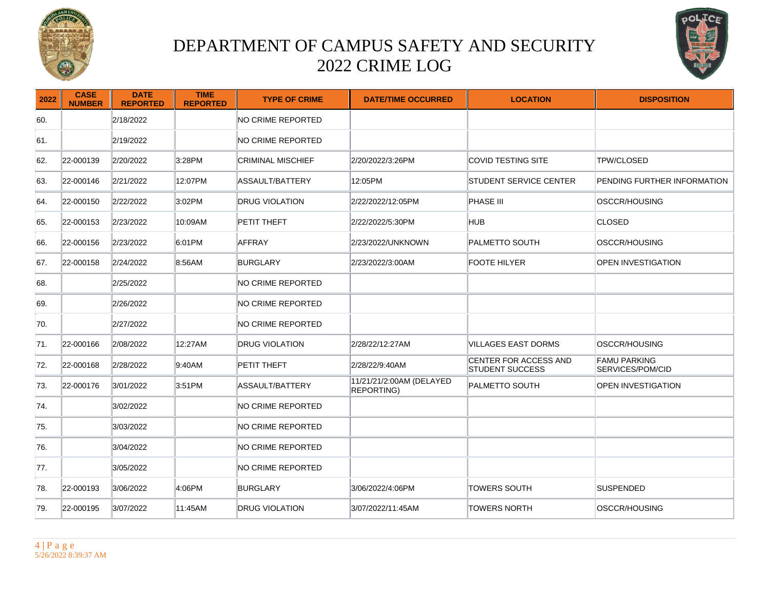



| 2022 | <b>CASE</b><br><b>NUMBER</b> | <b>DATE</b><br><b>REPORTED</b> | <b>TIME</b><br><b>REPORTED</b> | <b>TYPE OF CRIME</b>   | <b>DATE/TIME OCCURRED</b>              | <b>LOCATION</b>                                        | <b>DISPOSITION</b>                      |
|------|------------------------------|--------------------------------|--------------------------------|------------------------|----------------------------------------|--------------------------------------------------------|-----------------------------------------|
| 60.  |                              | 2/18/2022                      |                                | NO CRIME REPORTED      |                                        |                                                        |                                         |
| 61.  |                              | 2/19/2022                      |                                | NO CRIME REPORTED      |                                        |                                                        |                                         |
| 62.  | 22-000139                    | 2/20/2022                      | 3:28PM                         | CRIMINAL MISCHIEF      | 2/20/2022/3:26PM                       | <b>COVID TESTING SITE</b>                              | <b>TPW/CLOSED</b>                       |
| 63.  | 22-000146                    | 2/21/2022                      | 12:07PM                        | <b>ASSAULT/BATTERY</b> | 12:05PM                                | <b>STUDENT SERVICE CENTER</b>                          | PENDING FURTHER INFORMATION             |
| 64.  | 22-000150                    | 2/22/2022                      | 3:02PM                         | <b>DRUG VIOLATION</b>  | 2/22/2022/12:05PM                      | PHASE III                                              | OSCCR/HOUSING                           |
| 65.  | 22-000153                    | 2/23/2022                      | 10:09AM                        | PETIT THEFT            | 2/22/2022/5:30PM                       | HUB                                                    | <b>CLOSED</b>                           |
| 66.  | 22-000156                    | 2/23/2022                      | 6:01PM                         | <b>AFFRAY</b>          | 2/23/2022/UNKNOWN                      | <b>PALMETTO SOUTH</b>                                  | OSCCR/HOUSING                           |
| 67.  | 22-000158                    | 2/24/2022                      | 8:56AM                         | BURGLARY               | 2/23/2022/3:00AM                       | <b>FOOTE HILYER</b>                                    | <b>OPEN INVESTIGATION</b>               |
| 68.  |                              | 2/25/2022                      |                                | NO CRIME REPORTED      |                                        |                                                        |                                         |
| 69.  |                              | 2/26/2022                      |                                | NO CRIME REPORTED      |                                        |                                                        |                                         |
| 70.  |                              | 2/27/2022                      |                                | NO CRIME REPORTED      |                                        |                                                        |                                         |
| 71.  | 22-000166                    | 2/08/2022                      | 12:27AM                        | <b>DRUG VIOLATION</b>  | 2/28/22/12:27AM                        | VILLAGES EAST DORMS                                    | <b>OSCCR/HOUSING</b>                    |
| 72.  | 22-000168                    | 2/28/2022                      | 9:40AM                         | PETIT THEFT            | 2/28/22/9:40AM                         | <b>CENTER FOR ACCESS AND</b><br><b>STUDENT SUCCESS</b> | <b>FAMU PARKING</b><br>SERVICES/POM/CID |
| 73.  | 22-000176                    | 3/01/2022                      | 3:51PM                         | ASSAULT/BATTERY        | 11/21/21/2:00AM (DELAYED<br>REPORTING) | <b>PALMETTO SOUTH</b>                                  | <b>OPEN INVESTIGATION</b>               |
| 74.  |                              | 3/02/2022                      |                                | NO CRIME REPORTED      |                                        |                                                        |                                         |
| 75.  |                              | 3/03/2022                      |                                | NO CRIME REPORTED      |                                        |                                                        |                                         |
| 76.  |                              | 3/04/2022                      |                                | NO CRIME REPORTED      |                                        |                                                        |                                         |
| 77.  |                              | 3/05/2022                      |                                | NO CRIME REPORTED      |                                        |                                                        |                                         |
| 78.  | 22-000193                    | 3/06/2022                      | 4:06PM                         | <b>BURGLARY</b>        | 3/06/2022/4:06PM                       | <b>TOWERS SOUTH</b>                                    | SUSPENDED                               |
| 79.  | 22-000195                    | 3/07/2022                      | 11:45AM                        | <b>DRUG VIOLATION</b>  | 3/07/2022/11:45AM                      | <b>TOWERS NORTH</b>                                    | OSCCR/HOUSING                           |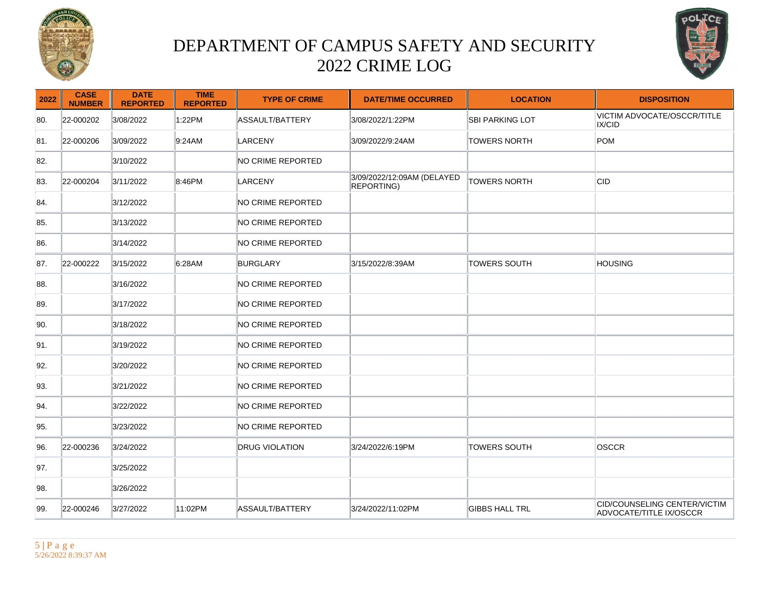



| 2022 | <b>CASE</b><br><b>NUMBER</b> | <b>DATE</b><br><b>REPORTED</b> | <b>TIME</b><br><b>REPORTED</b> | <b>TYPE OF CRIME</b>   | <b>DATE/TIME OCCURRED</b>                | <b>LOCATION</b>        | <b>DISPOSITION</b>                                      |
|------|------------------------------|--------------------------------|--------------------------------|------------------------|------------------------------------------|------------------------|---------------------------------------------------------|
| 80.  | 22-000202                    | 3/08/2022                      | 1:22PM                         | ASSAULT/BATTERY        | 3/08/2022/1:22PM                         | <b>SBI PARKING LOT</b> | VICTIM ADVOCATE/OSCCR/TITLE<br>IX/CID                   |
| 81.  | 22-000206                    | 3/09/2022                      | 9:24AM                         | <b>LARCENY</b>         | 3/09/2022/9:24AM                         | <b>TOWERS NORTH</b>    | POM                                                     |
| 82.  |                              | 3/10/2022                      |                                | NO CRIME REPORTED      |                                          |                        |                                                         |
| 83.  | 22-000204                    | 3/11/2022                      | 8:46PM                         | LARCENY                | 3/09/2022/12:09AM (DELAYED<br>REPORTING) | <b>TOWERS NORTH</b>    | <b>CID</b>                                              |
| 84.  |                              | 3/12/2022                      |                                | NO CRIME REPORTED      |                                          |                        |                                                         |
| 85.  |                              | 3/13/2022                      |                                | NO CRIME REPORTED      |                                          |                        |                                                         |
| 86.  |                              | 3/14/2022                      |                                | NO CRIME REPORTED      |                                          |                        |                                                         |
| 87.  | 22-000222                    | 3/15/2022                      | 6:28AM                         | BURGLARY               | 3/15/2022/8:39AM                         | <b>TOWERS SOUTH</b>    | <b>HOUSING</b>                                          |
| 88.  |                              | 3/16/2022                      |                                | NO CRIME REPORTED      |                                          |                        |                                                         |
| 89.  |                              | 3/17/2022                      |                                | NO CRIME REPORTED      |                                          |                        |                                                         |
| 90.  |                              | 3/18/2022                      |                                | NO CRIME REPORTED      |                                          |                        |                                                         |
| 91.  |                              | 3/19/2022                      |                                | NO CRIME REPORTED      |                                          |                        |                                                         |
| 92.  |                              | 3/20/2022                      |                                | NO CRIME REPORTED      |                                          |                        |                                                         |
| 93.  |                              | 3/21/2022                      |                                | NO CRIME REPORTED      |                                          |                        |                                                         |
| 94.  |                              | 3/22/2022                      |                                | NO CRIME REPORTED      |                                          |                        |                                                         |
| 95.  |                              | 3/23/2022                      |                                | NO CRIME REPORTED      |                                          |                        |                                                         |
| 96.  | 22-000236                    | 3/24/2022                      |                                | <b>DRUG VIOLATION</b>  | 3/24/2022/6:19PM                         | <b>TOWERS SOUTH</b>    | OSCCR                                                   |
| 97.  |                              | 3/25/2022                      |                                |                        |                                          |                        |                                                         |
| 98.  |                              | 3/26/2022                      |                                |                        |                                          |                        |                                                         |
| 99.  | 22-000246                    | 3/27/2022                      | 11:02PM                        | <b>ASSAULT/BATTERY</b> | 3/24/2022/11:02PM                        | <b>GIBBS HALL TRL</b>  | CID/COUNSELING CENTER/VICTIM<br>ADVOCATE/TITLE IX/OSCCR |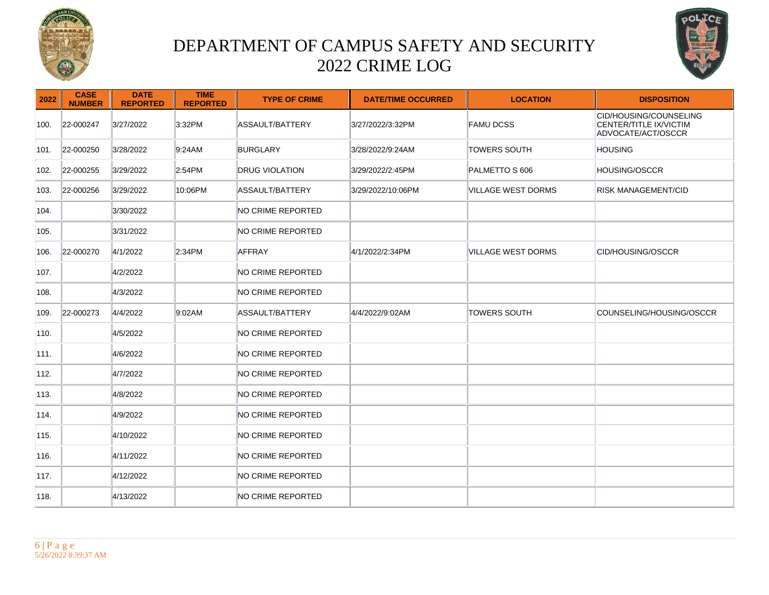



| 2022 | <b>CASE</b><br><b>NUMBER</b> | <b>DATE</b><br><b>REPORTED</b> | <b>TIME</b><br><b>REPORTED</b> | <b>TYPE OF CRIME</b>  | <b>DATE/TIME OCCURRED</b> | <b>LOCATION</b>     | <b>DISPOSITION</b>                                                     |
|------|------------------------------|--------------------------------|--------------------------------|-----------------------|---------------------------|---------------------|------------------------------------------------------------------------|
| 100. | 22-000247                    | 3/27/2022                      | 3:32PM                         | ASSAULT/BATTERY       | 3/27/2022/3:32PM          | FAMU DCSS           | CID/HOUSING/COUNSELING<br>CENTER/TITLE IX/VICTIM<br>ADVOCATE/ACT/OSCCR |
| 101. | 22-000250                    | 3/28/2022                      | 9:24AM                         | <b>BURGLARY</b>       | 3/28/2022/9:24AM          | <b>TOWERS SOUTH</b> | <b>HOUSING</b>                                                         |
| 102. | 22-000255                    | 3/29/2022                      | 2:54PM                         | <b>DRUG VIOLATION</b> | 3/29/2022/2:45PM          | PALMETTO S 606      | <b>HOUSING/OSCCR</b>                                                   |
| 103. | 22-000256                    | 3/29/2022                      | 10:06PM                        | ASSAULT/BATTERY       | 3/29/2022/10:06PM         | VILLAGE WEST DORMS  | <b>RISK MANAGEMENT/CID</b>                                             |
| 104. |                              | 3/30/2022                      |                                | NO CRIME REPORTED     |                           |                     |                                                                        |
| 105. |                              | 3/31/2022                      |                                | NO CRIME REPORTED     |                           |                     |                                                                        |
| 106. | 22-000270                    | 4/1/2022                       | 2:34PM                         | AFFRAY                | 4/1/2022/2:34PM           | VILLAGE WEST DORMS  | CID/HOUSING/OSCCR                                                      |
| 107. |                              | 4/2/2022                       |                                | NO CRIME REPORTED     |                           |                     |                                                                        |
| 108. |                              | 4/3/2022                       |                                | NO CRIME REPORTED     |                           |                     |                                                                        |
| 109. | 22-000273                    | 4/4/2022                       | 9:02AM                         | ASSAULT/BATTERY       | 4/4/2022/9:02AM           | <b>TOWERS SOUTH</b> | COUNSELING/HOUSING/OSCCR                                               |
| 110. |                              | 4/5/2022                       |                                | NO CRIME REPORTED     |                           |                     |                                                                        |
| 111. |                              | 4/6/2022                       |                                | NO CRIME REPORTED     |                           |                     |                                                                        |
| 112. |                              | 4/7/2022                       |                                | NO CRIME REPORTED     |                           |                     |                                                                        |
| 113. |                              | 4/8/2022                       |                                | NO CRIME REPORTED     |                           |                     |                                                                        |
| 114. |                              | 4/9/2022                       |                                | NO CRIME REPORTED     |                           |                     |                                                                        |
| 115. |                              | 4/10/2022                      |                                | NO CRIME REPORTED     |                           |                     |                                                                        |
| 116. |                              | 4/11/2022                      |                                | NO CRIME REPORTED     |                           |                     |                                                                        |
| 117. |                              | 4/12/2022                      |                                | NO CRIME REPORTED     |                           |                     |                                                                        |
| 118. |                              | 4/13/2022                      |                                | NO CRIME REPORTED     |                           |                     |                                                                        |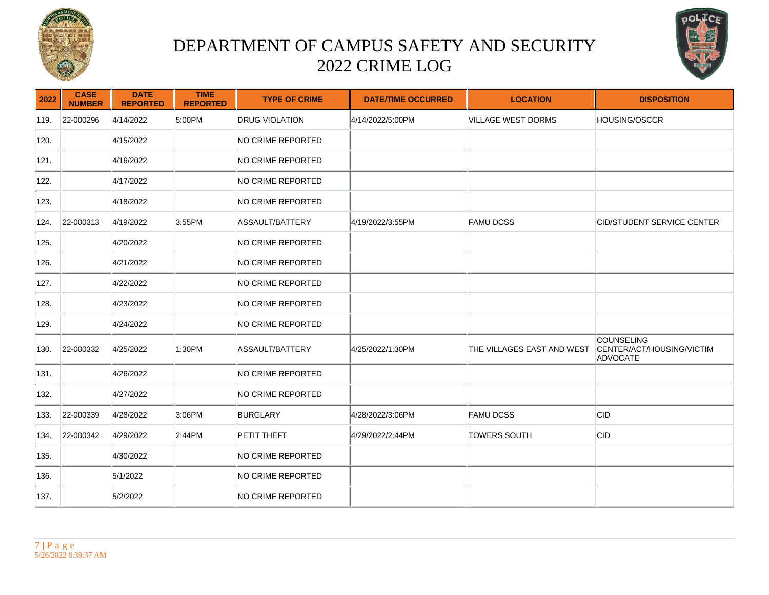



| 2022 | <b>CASE</b><br><b>NUMBER</b> | <b>DATE</b><br><b>REPORTED</b> | <b>TIME</b><br><b>REPORTED</b> | <b>TYPE OF CRIME</b>     | <b>DATE/TIME OCCURRED</b> | <b>LOCATION</b>            | <b>DISPOSITION</b>                                         |
|------|------------------------------|--------------------------------|--------------------------------|--------------------------|---------------------------|----------------------------|------------------------------------------------------------|
| 119. | 22-000296                    | 4/14/2022                      | 5:00PM                         | <b>DRUG VIOLATION</b>    | 4/14/2022/5:00PM          | VILLAGE WEST DORMS         | HOUSING/OSCCR                                              |
| 120. |                              | 4/15/2022                      |                                | NO CRIME REPORTED        |                           |                            |                                                            |
| 121. |                              | 4/16/2022                      |                                | NO CRIME REPORTED        |                           |                            |                                                            |
| 122. |                              | 4/17/2022                      |                                | NO CRIME REPORTED        |                           |                            |                                                            |
| 123. |                              | 4/18/2022                      |                                | NO CRIME REPORTED        |                           |                            |                                                            |
| 124. | 22-000313                    | 4/19/2022                      | 3:55PM                         | ASSAULT/BATTERY          | 4/19/2022/3:55PM          | <b>FAMU DCSS</b>           | CID/STUDENT SERVICE CENTER                                 |
| 125. |                              | 4/20/2022                      |                                | NO CRIME REPORTED        |                           |                            |                                                            |
| 126. |                              | 4/21/2022                      |                                | NO CRIME REPORTED        |                           |                            |                                                            |
| 127. |                              | 4/22/2022                      |                                | NO CRIME REPORTED        |                           |                            |                                                            |
| 128. |                              | 4/23/2022                      |                                | NO CRIME REPORTED        |                           |                            |                                                            |
| 129. |                              | 4/24/2022                      |                                | NO CRIME REPORTED        |                           |                            |                                                            |
| 130. | 22-000332                    | 4/25/2022                      | 1:30PM                         | ASSAULT/BATTERY          | 4/25/2022/1:30PM          | THE VILLAGES EAST AND WEST | <b>COUNSELING</b><br>CENTER/ACT/HOUSING/VICTIM<br>ADVOCATE |
| 131. |                              | 4/26/2022                      |                                | <b>NO CRIME REPORTED</b> |                           |                            |                                                            |
| 132. |                              | 4/27/2022                      |                                | NO CRIME REPORTED        |                           |                            |                                                            |
| 133. | 22-000339                    | 4/28/2022                      | 3:06PM                         | BURGLARY                 | 4/28/2022/3:06PM          | <b>FAMU DCSS</b>           | ∣CID                                                       |
| 134. | 22-000342                    | 4/29/2022                      | 2:44PM                         | PETIT THEFT              | 4/29/2022/2:44PM          | <b>TOWERS SOUTH</b>        | CID                                                        |
| 135. |                              | 4/30/2022                      |                                | NO CRIME REPORTED        |                           |                            |                                                            |
| 136. |                              | 5/1/2022                       |                                | NO CRIME REPORTED        |                           |                            |                                                            |
| 137. |                              | 5/2/2022                       |                                | NO CRIME REPORTED        |                           |                            |                                                            |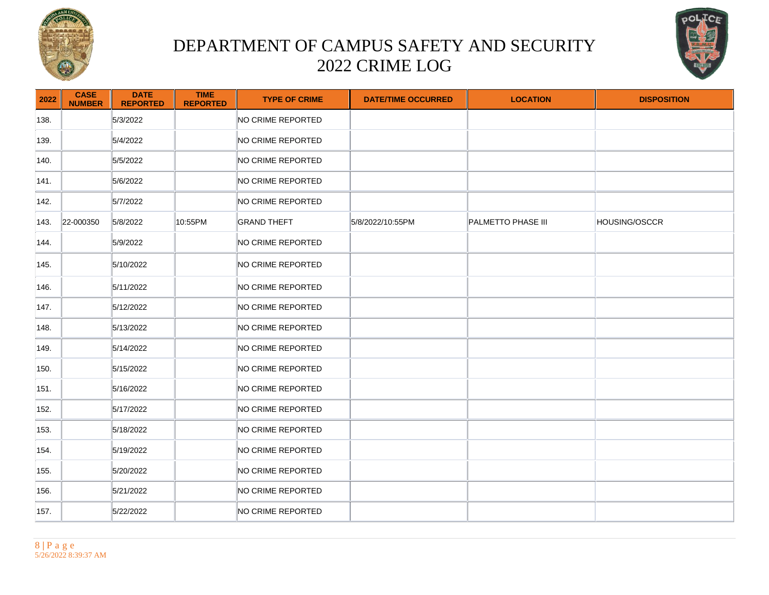



| 2022 | <b>CASE</b><br><b>NUMBER</b> | <b>DATE</b><br><b>REPORTED</b> | <b>TIME</b><br><b>REPORTED</b> | <b>TYPE OF CRIME</b> | <b>DATE/TIME OCCURRED</b> | <b>LOCATION</b>    | <b>DISPOSITION</b> |
|------|------------------------------|--------------------------------|--------------------------------|----------------------|---------------------------|--------------------|--------------------|
| 138. |                              | 5/3/2022                       |                                | NO CRIME REPORTED    |                           |                    |                    |
| 139. |                              | 5/4/2022                       |                                | NO CRIME REPORTED    |                           |                    |                    |
| 140. |                              | 5/5/2022                       |                                | NO CRIME REPORTED    |                           |                    |                    |
| 141. |                              | 5/6/2022                       |                                | NO CRIME REPORTED    |                           |                    |                    |
| 142. |                              | 5/7/2022                       |                                | NO CRIME REPORTED    |                           |                    |                    |
| 143. | 22-000350                    | 5/8/2022                       | 10:55PM                        | <b>GRAND THEFT</b>   | 5/8/2022/10:55PM          | PALMETTO PHASE III | HOUSING/OSCCR      |
| 144. |                              | 5/9/2022                       |                                | NO CRIME REPORTED    |                           |                    |                    |
| 145. |                              | 5/10/2022                      |                                | NO CRIME REPORTED    |                           |                    |                    |
| 146. |                              | 5/11/2022                      |                                | NO CRIME REPORTED    |                           |                    |                    |
| 147. |                              | 5/12/2022                      |                                | NO CRIME REPORTED    |                           |                    |                    |
| 148. |                              | 5/13/2022                      |                                | NO CRIME REPORTED    |                           |                    |                    |
| 149. |                              | 5/14/2022                      |                                | NO CRIME REPORTED    |                           |                    |                    |
| 150. |                              | 5/15/2022                      |                                | NO CRIME REPORTED    |                           |                    |                    |
| 151. |                              | 5/16/2022                      |                                | NO CRIME REPORTED    |                           |                    |                    |
| 152. |                              | 5/17/2022                      |                                | NO CRIME REPORTED    |                           |                    |                    |
| 153. |                              | 5/18/2022                      |                                | NO CRIME REPORTED    |                           |                    |                    |
| 154. |                              | 5/19/2022                      |                                | NO CRIME REPORTED    |                           |                    |                    |
| 155. |                              | 5/20/2022                      |                                | NO CRIME REPORTED    |                           |                    |                    |
| 156. |                              | 5/21/2022                      |                                | NO CRIME REPORTED    |                           |                    |                    |
| 157. |                              | 5/22/2022                      |                                | NO CRIME REPORTED    |                           |                    |                    |